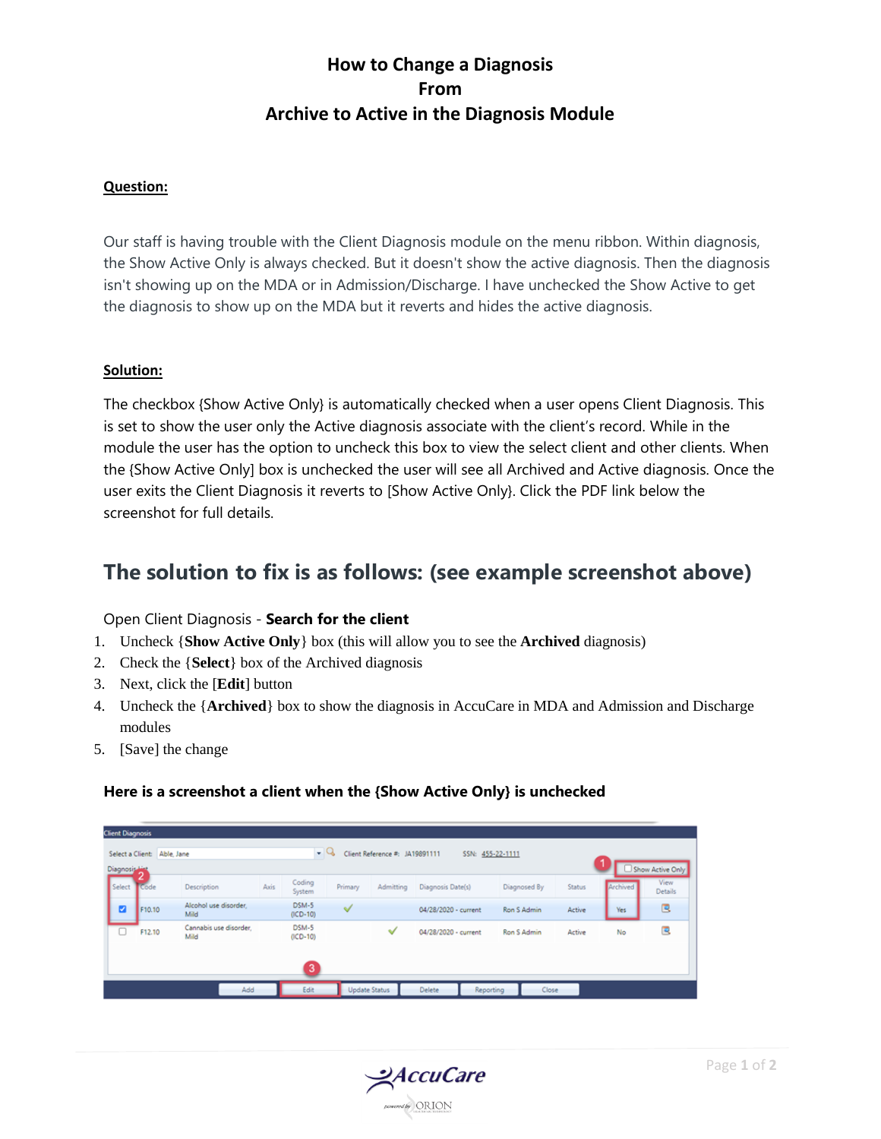# **How to Change a Diagnosis From Archive to Active in the Diagnosis Module**

### **Question:**

Our staff is having trouble with the Client Diagnosis module on the menu ribbon. Within diagnosis, the Show Active Only is always checked. But it doesn't show the active diagnosis. Then the diagnosis isn't showing up on the MDA or in Admission/Discharge. I have unchecked the Show Active to get the diagnosis to show up on the MDA but it reverts and hides the active diagnosis.

#### **Solution:**

The checkbox {Show Active Only} is automatically checked when a user opens Client Diagnosis. This is set to show the user only the Active diagnosis associate with the client's record. While in the module the user has the option to uncheck this box to view the select client and other clients. When the {Show Active Only] box is unchecked the user will see all Archived and Active diagnosis. Once the user exits the Client Diagnosis it reverts to [Show Active Only}. Click the PDF link below the screenshot for full details.

# **The solution to fix is as follows: (see example screenshot above)**

#### Open Client Diagnosis - **Search for the client**

- 1. Uncheck {**Show Active Only**} box (this will allow you to see the **Archived** diagnosis)
- 2. Check the {**Select**} box of the Archived diagnosis
- 3. Next, click the [**Edit**] button
- 4. Uncheck the {**Archived**} box to show the diagnosis in AccuCare in MDA and Admission and Discharge modules
- 5. [Save] the change

### **Here is a screenshot a client when the {Show Active Only} is unchecked**

| <b>Client Diagnosis</b> |                                                                                                                                        |                                |      |                     |                      |               |                      |       |                               |  |          |                 |
|-------------------------|----------------------------------------------------------------------------------------------------------------------------------------|--------------------------------|------|---------------------|----------------------|---------------|----------------------|-------|-------------------------------|--|----------|-----------------|
|                         | $\bullet$ Q<br>Client Reference #: JA19891111<br>Select a Client: Able, Jane<br>SSN: 455-22-1111<br>Show Active Only<br>Diagnosis Hist |                                |      |                     |                      |               |                      |       |                               |  |          |                 |
| Select                  | Code                                                                                                                                   | Description                    | Axis | Coding<br>System    | Primary              | Admitting     | Diagnosis Date(s)    |       | <b>Status</b><br>Diagnosed By |  | Archived | View<br>Details |
| ø                       | F10.10                                                                                                                                 | Alcohol use disorder,<br>Mild  |      | DSM-5<br>$(ICD-10)$ | √                    |               | 04/28/2020 - current |       | Ron S Admin<br>Active         |  | Yes      | B               |
| O                       | F12.10                                                                                                                                 | Cannabis use disorder.<br>Mild |      | DSM-5<br>$(ICD-10)$ |                      | ୰             | 04/28/2020 - current |       | Active<br>Ron S Admin         |  | No       | 巴               |
|                         |                                                                                                                                        |                                |      | 3                   |                      |               |                      |       |                               |  |          |                 |
| Add                     |                                                                                                                                        |                                | Edit |                     | <b>Update Status</b> | <b>Delete</b> | Reporting            | Close |                               |  |          |                 |